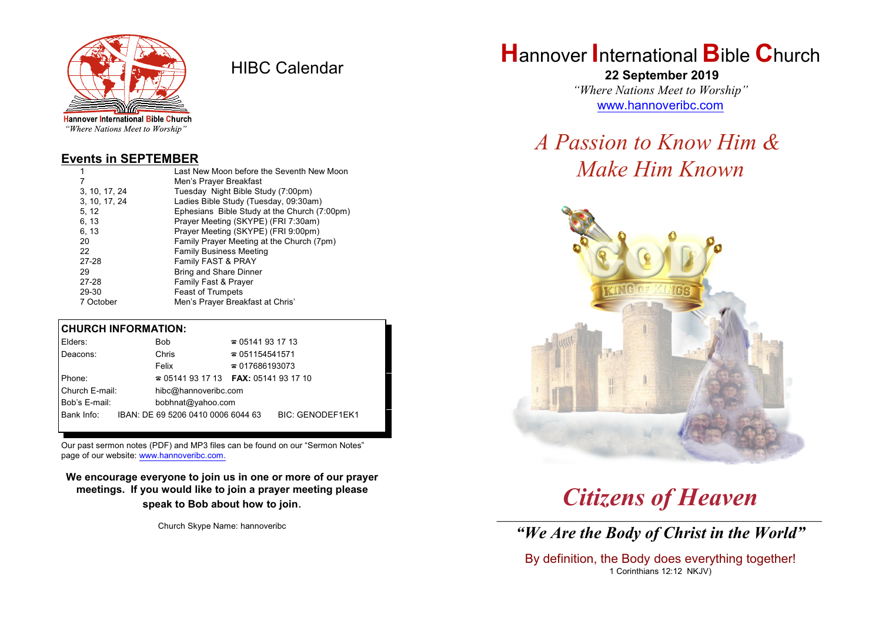

HIBC Calendar

"Where Nations Meet to Worship"

#### **Events in SEPTEMBER**

| 1             | Last New Moon before the Seventh New Moon    |  |  |
|---------------|----------------------------------------------|--|--|
| 7             | Men's Prayer Breakfast                       |  |  |
| 3, 10, 17, 24 | Tuesday Night Bible Study (7:00pm)           |  |  |
| 3, 10, 17, 24 | Ladies Bible Study (Tuesday, 09:30am)        |  |  |
| 5, 12         | Ephesians Bible Study at the Church (7:00pm) |  |  |
| 6, 13         | Prayer Meeting (SKYPE) (FRI 7:30am)          |  |  |
| 6, 13         | Prayer Meeting (SKYPE) (FRI 9:00pm)          |  |  |
| 20            | Family Prayer Meeting at the Church (7pm)    |  |  |
| 22            | <b>Family Business Meeting</b>               |  |  |
| 27-28         | Family FAST & PRAY                           |  |  |
| 29            | <b>Bring and Share Dinner</b>                |  |  |
| 27-28         | Family Fast & Prayer                         |  |  |
| 29-30         | <b>Feast of Trumpets</b>                     |  |  |
| 7 October     | Men's Prayer Breakfast at Chris'             |  |  |

#### **CHURCH INFORMATION:**

| Elders:        |  | Bob                                | $\approx 05141931713$                    |                         |  |
|----------------|--|------------------------------------|------------------------------------------|-------------------------|--|
| Deacons:       |  | Chris                              | $\approx 051154541571$                   |                         |  |
|                |  | Felix                              | $\approx 017686193073$                   |                         |  |
| Phone:         |  |                                    | $\approx 05141931713$ FAX: 0514193 17 10 |                         |  |
| Church E-mail: |  | hibc@hannoveribc.com               |                                          |                         |  |
| Bob's E-mail:  |  | bobhnat@yahoo.com                  |                                          |                         |  |
| Bank Info:     |  | IBAN: DE 69 5206 0410 0006 6044 63 |                                          | <b>BIC: GENODEF1EK1</b> |  |
|                |  |                                    |                                          |                         |  |

Our past sermon notes (PDF) and MP3 files can be found on our "Sermon Notes" page of our website: [www.hannoveribc.com.](http://www.hannoveribc.com.)

**We encourage everyone to join us in one or more of our prayer meetings. If you would like to join a prayer meeting please speak to Bob about how to join**.

Church Skype Name: hannoveribc

# **H**annover **I**nternational **B**ible **C**hurch

 **22 September 2019** *"Where Nations Meet to Worship"* [www.hannoveribc.com](http://www.hannoveribc.com)

# *A Passion to Know Him & Make Him Known*



# *Citizens of Heaven*

\_\_\_\_\_\_\_\_\_\_\_\_\_\_\_\_\_\_\_\_\_\_\_\_\_\_\_\_\_\_\_\_\_\_\_\_\_\_\_\_\_\_\_\_\_\_\_\_\_\_\_\_\_\_\_\_\_\_\_\_\_\_ *"We Are the Body of Christ in the World"*

By definition, the Body does everything together! 1 Corinthians 12:12 NKJV)